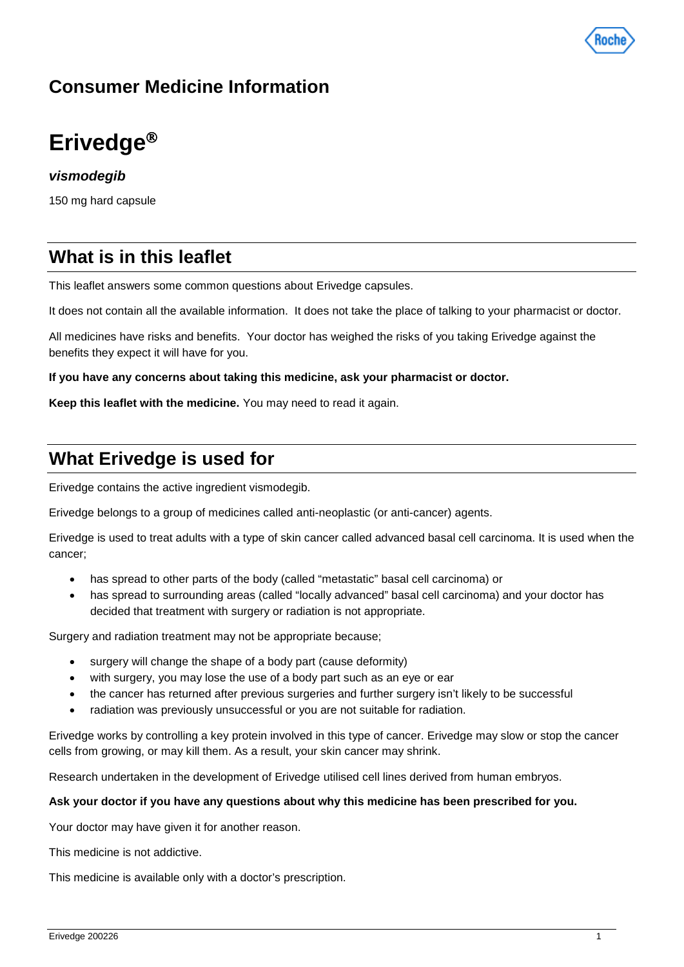

# **Consumer Medicine Information**

# **Erivedge**

# *vismodegib*

150 mg hard capsule

# **What is in this leaflet**

This leaflet answers some common questions about Erivedge capsules.

It does not contain all the available information. It does not take the place of talking to your pharmacist or doctor.

All medicines have risks and benefits. Your doctor has weighed the risks of you taking Erivedge against the benefits they expect it will have for you.

**If you have any concerns about taking this medicine, ask your pharmacist or doctor.**

**Keep this leaflet with the medicine.** You may need to read it again.

# **What Erivedge is used for**

Erivedge contains the active ingredient vismodegib.

Erivedge belongs to a group of medicines called anti-neoplastic (or anti-cancer) agents.

Erivedge is used to treat adults with a type of skin cancer called advanced basal cell carcinoma. It is used when the cancer;

- has spread to other parts of the body (called "metastatic" basal cell carcinoma) or
- has spread to surrounding areas (called "locally advanced" basal cell carcinoma) and your doctor has decided that treatment with surgery or radiation is not appropriate.

Surgery and radiation treatment may not be appropriate because;

- surgery will change the shape of a body part (cause deformity)
- with surgery, you may lose the use of a body part such as an eye or ear
- the cancer has returned after previous surgeries and further surgery isn't likely to be successful
- radiation was previously unsuccessful or you are not suitable for radiation.

Erivedge works by controlling a key protein involved in this type of cancer. Erivedge may slow or stop the cancer cells from growing, or may kill them. As a result, your skin cancer may shrink.

Research undertaken in the development of Erivedge utilised cell lines derived from human embryos.

#### **Ask your doctor if you have any questions about why this medicine has been prescribed for you.**

Your doctor may have given it for another reason.

This medicine is not addictive.

This medicine is available only with a doctor's prescription.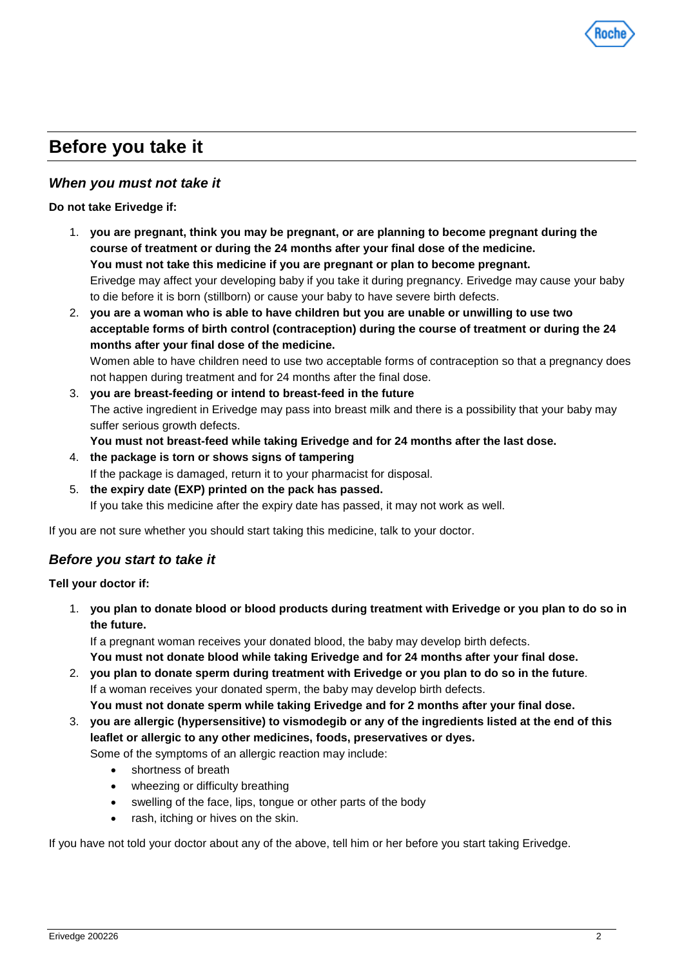

# **Before you take it**

## *When you must not take it*

#### **Do not take Erivedge if:**

- 1. **you are pregnant, think you may be pregnant, or are planning to become pregnant during the course of treatment or during the 24 months after your final dose of the medicine. You must not take this medicine if you are pregnant or plan to become pregnant.** Erivedge may affect your developing baby if you take it during pregnancy. Erivedge may cause your baby to die before it is born (stillborn) or cause your baby to have severe birth defects.
- 2. **you are a woman who is able to have children but you are unable or unwilling to use two acceptable forms of birth control (contraception) during the course of treatment or during the 24 months after your final dose of the medicine.** Women able to have children need to use two acceptable forms of contraception so that a pregnancy does not happen during treatment and for 24 months after the final dose. 3. **you are breast-feeding or intend to breast-feed in the future**
- The active ingredient in Erivedge may pass into breast milk and there is a possibility that your baby may suffer serious growth defects.

**You must not breast-feed while taking Erivedge and for 24 months after the last dose.**

- 4. **the package is torn or shows signs of tampering** If the package is damaged, return it to your pharmacist for disposal.
- 5. **the expiry date (EXP) printed on the pack has passed.** If you take this medicine after the expiry date has passed, it may not work as well.

If you are not sure whether you should start taking this medicine, talk to your doctor.

### *Before you start to take it*

**Tell your doctor if:**

1. **you plan to donate blood or blood products during treatment with Erivedge or you plan to do so in the future.**

If a pregnant woman receives your donated blood, the baby may develop birth defects. **You must not donate blood while taking Erivedge and for 24 months after your final dose.**

- 2. **you plan to donate sperm during treatment with Erivedge or you plan to do so in the future**. If a woman receives your donated sperm, the baby may develop birth defects. **You must not donate sperm while taking Erivedge and for 2 months after your final dose.**
- 3. **you are allergic (hypersensitive) to vismodegib or any of the ingredients listed at the end of this leaflet or allergic to any other medicines, foods, preservatives or dyes.**

Some of the symptoms of an allergic reaction may include:

- shortness of breath
- wheezing or difficulty breathing
- swelling of the face, lips, tongue or other parts of the body
- rash, itching or hives on the skin.

If you have not told your doctor about any of the above, tell him or her before you start taking Erivedge.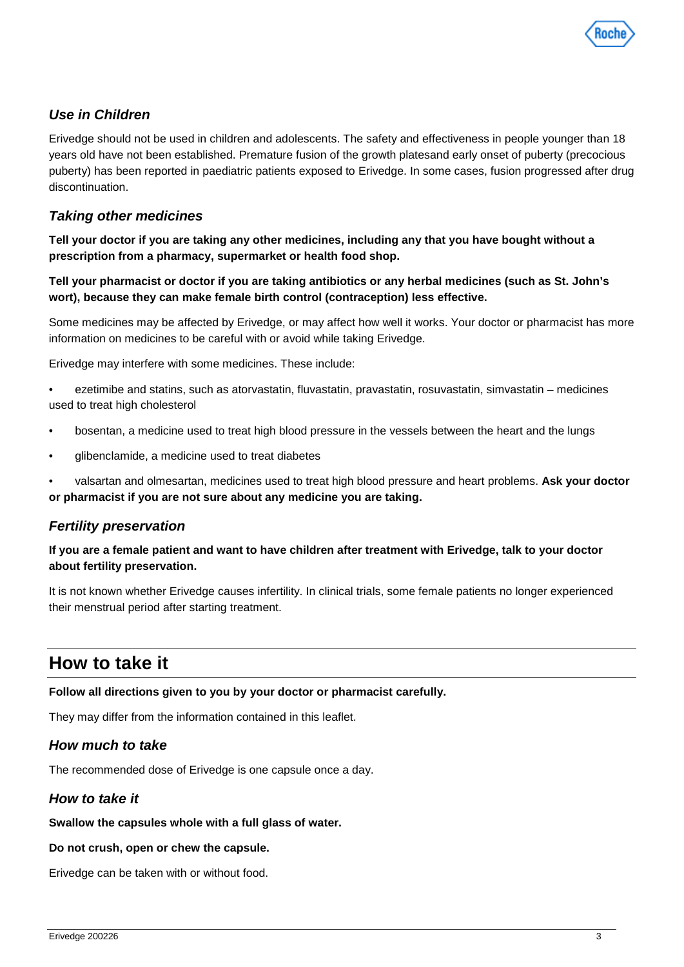

# *Use in Children*

Erivedge should not be used in children and adolescents. The safety and effectiveness in people younger than 18 years old have not been established. Premature fusion of the growth platesand early onset of puberty (precocious puberty) has been reported in paediatric patients exposed to Erivedge. In some cases, fusion progressed after drug discontinuation.

## *Taking other medicines*

**Tell your doctor if you are taking any other medicines, including any that you have bought without a prescription from a pharmacy, supermarket or health food shop.**

#### **Tell your pharmacist or doctor if you are taking antibiotics or any herbal medicines (such as St. John's wort), because they can make female birth control (contraception) less effective.**

Some medicines may be affected by Erivedge, or may affect how well it works. Your doctor or pharmacist has more information on medicines to be careful with or avoid while taking Erivedge.

Erivedge may interfere with some medicines. These include:

- ezetimibe and statins, such as atorvastatin, fluvastatin, pravastatin, rosuvastatin, simvastatin medicines used to treat high cholesterol
- bosentan, a medicine used to treat high blood pressure in the vessels between the heart and the lungs
- glibenclamide, a medicine used to treat diabetes
- valsartan and olmesartan, medicines used to treat high blood pressure and heart problems. **Ask your doctor or pharmacist if you are not sure about any medicine you are taking.**

### *Fertility preservation*

#### **If you are a female patient and want to have children after treatment with Erivedge, talk to your doctor about fertility preservation.**

It is not known whether Erivedge causes infertility. In clinical trials, some female patients no longer experienced their menstrual period after starting treatment.

# **How to take it**

#### **Follow all directions given to you by your doctor or pharmacist carefully.**

They may differ from the information contained in this leaflet.

### *How much to take*

The recommended dose of Erivedge is one capsule once a day.

### *How to take it*

#### **Swallow the capsules whole with a full glass of water.**

#### **Do not crush, open or chew the capsule.**

Erivedge can be taken with or without food.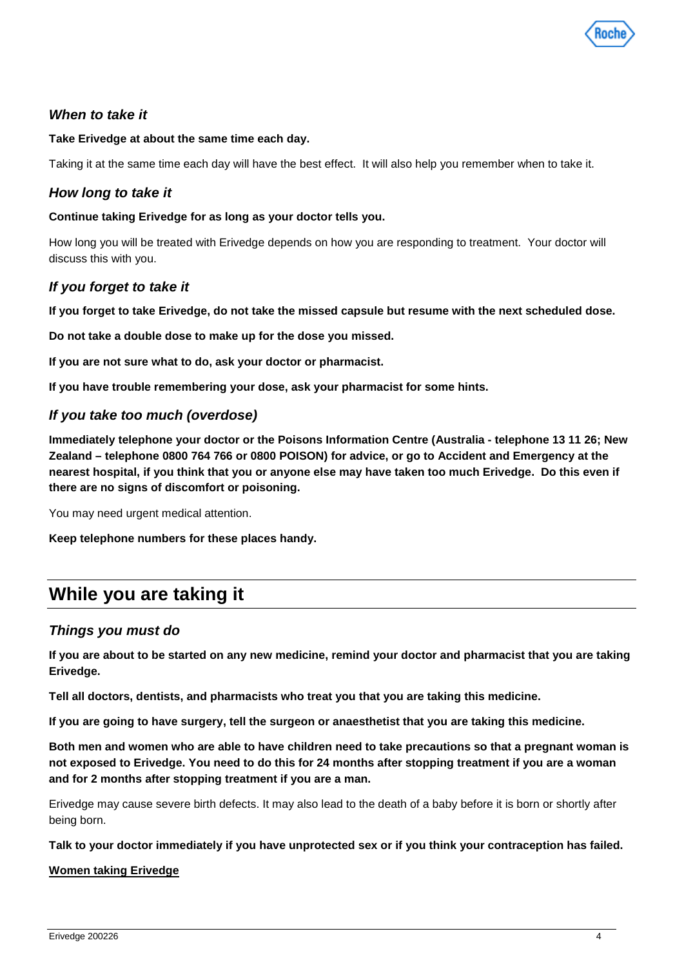

# *When to take it*

#### **Take Erivedge at about the same time each day.**

Taking it at the same time each day will have the best effect. It will also help you remember when to take it.

# *How long to take it*

#### **Continue taking Erivedge for as long as your doctor tells you.**

How long you will be treated with Erivedge depends on how you are responding to treatment. Your doctor will discuss this with you.

### *If you forget to take it*

**If you forget to take Erivedge, do not take the missed capsule but resume with the next scheduled dose.**

**Do not take a double dose to make up for the dose you missed.**

**If you are not sure what to do, ask your doctor or pharmacist.**

**If you have trouble remembering your dose, ask your pharmacist for some hints.**

### *If you take too much (overdose)*

**Immediately telephone your doctor or the Poisons Information Centre (Australia - telephone 13 11 26; New Zealand – telephone 0800 764 766 or 0800 POISON) for advice, or go to Accident and Emergency at the nearest hospital, if you think that you or anyone else may have taken too much Erivedge. Do this even if there are no signs of discomfort or poisoning.**

You may need urgent medical attention.

**Keep telephone numbers for these places handy.**

# **While you are taking it**

### *Things you must do*

**If you are about to be started on any new medicine, remind your doctor and pharmacist that you are taking Erivedge.**

**Tell all doctors, dentists, and pharmacists who treat you that you are taking this medicine.**

**If you are going to have surgery, tell the surgeon or anaesthetist that you are taking this medicine.**

**Both men and women who are able to have children need to take precautions so that a pregnant woman is not exposed to Erivedge. You need to do this for 24 months after stopping treatment if you are a woman and for 2 months after stopping treatment if you are a man.** 

Erivedge may cause severe birth defects. It may also lead to the death of a baby before it is born or shortly after being born.

**Talk to your doctor immediately if you have unprotected sex or if you think your contraception has failed.**

#### **Women taking Erivedge**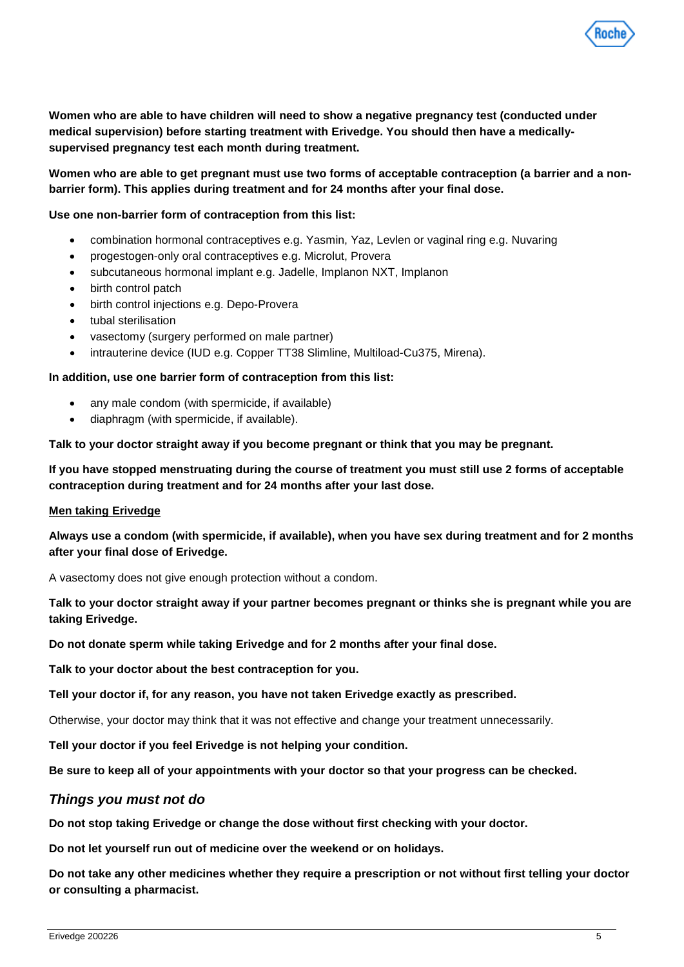

**Women who are able to have children will need to show a negative pregnancy test (conducted under medical supervision) before starting treatment with Erivedge. You should then have a medicallysupervised pregnancy test each month during treatment.**

### **Women who are able to get pregnant must use two forms of acceptable contraception (a barrier and a nonbarrier form). This applies during treatment and for 24 months after your final dose.**

#### **Use one non-barrier form of contraception from this list:**

- combination hormonal contraceptives e.g. Yasmin, Yaz, Levlen or vaginal ring e.g. Nuvaring
- progestogen-only oral contraceptives e.g. Microlut, Provera
- subcutaneous hormonal implant e.g. Jadelle, Implanon NXT, Implanon
- birth control patch
- birth control injections e.g. Depo-Provera
- tubal sterilisation
- vasectomy (surgery performed on male partner)
- intrauterine device (IUD e.g. Copper TT38 Slimline, Multiload-Cu375, Mirena).

#### **In addition, use one barrier form of contraception from this list:**

- any male condom (with spermicide, if available)
- diaphragm (with spermicide, if available).

**Talk to your doctor straight away if you become pregnant or think that you may be pregnant.**

**If you have stopped menstruating during the course of treatment you must still use 2 forms of acceptable contraception during treatment and for 24 months after your last dose.**

#### **Men taking Erivedge**

**Always use a condom (with spermicide, if available), when you have sex during treatment and for 2 months after your final dose of Erivedge.** 

A vasectomy does not give enough protection without a condom.

**Talk to your doctor straight away if your partner becomes pregnant or thinks she is pregnant while you are taking Erivedge.**

**Do not donate sperm while taking Erivedge and for 2 months after your final dose.**

**Talk to your doctor about the best contraception for you.** 

**Tell your doctor if, for any reason, you have not taken Erivedge exactly as prescribed.**

Otherwise, your doctor may think that it was not effective and change your treatment unnecessarily.

**Tell your doctor if you feel Erivedge is not helping your condition.**

**Be sure to keep all of your appointments with your doctor so that your progress can be checked.**

#### *Things you must not do*

**Do not stop taking Erivedge or change the dose without first checking with your doctor.**

**Do not let yourself run out of medicine over the weekend or on holidays.**

**Do not take any other medicines whether they require a prescription or not without first telling your doctor or consulting a pharmacist.**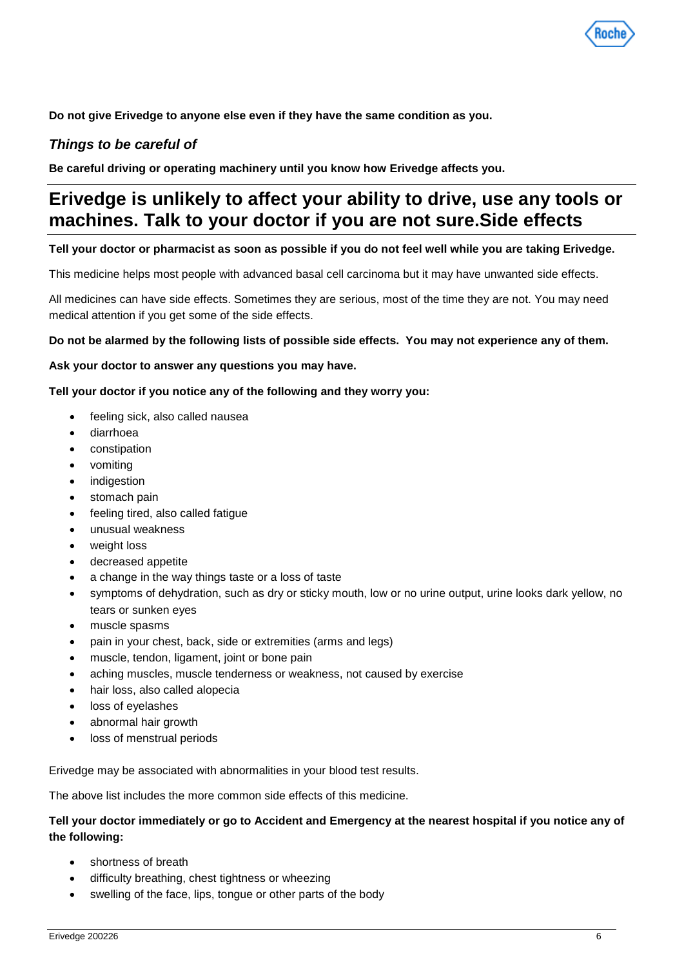

**Do not give Erivedge to anyone else even if they have the same condition as you.**

# *Things to be careful of*

**Be careful driving or operating machinery until you know how Erivedge affects you.**

# **Erivedge is unlikely to affect your ability to drive, use any tools or machines. Talk to your doctor if you are not sure.Side effects**

#### **Tell your doctor or pharmacist as soon as possible if you do not feel well while you are taking Erivedge.**

This medicine helps most people with advanced basal cell carcinoma but it may have unwanted side effects.

All medicines can have side effects. Sometimes they are serious, most of the time they are not. You may need medical attention if you get some of the side effects.

#### **Do not be alarmed by the following lists of possible side effects. You may not experience any of them.**

#### **Ask your doctor to answer any questions you may have.**

#### **Tell your doctor if you notice any of the following and they worry you:**

- feeling sick, also called nausea
- diarrhoea
- constipation
- vomiting
- indigestion
- stomach pain
- feeling tired, also called fatigue
- unusual weakness
- weight loss
- decreased appetite
- a change in the way things taste or a loss of taste
- symptoms of dehydration, such as dry or sticky mouth, low or no urine output, urine looks dark yellow, no tears or sunken eyes
- muscle spasms
- pain in your chest, back, side or extremities (arms and legs)
- muscle, tendon, ligament, joint or bone pain
- aching muscles, muscle tenderness or weakness, not caused by exercise
- hair loss, also called alopecia
- loss of eyelashes
- abnormal hair growth
- loss of menstrual periods

Erivedge may be associated with abnormalities in your blood test results.

The above list includes the more common side effects of this medicine.

#### **Tell your doctor immediately or go to Accident and Emergency at the nearest hospital if you notice any of the following:**

- shortness of breath
- difficulty breathing, chest tightness or wheezing
- swelling of the face, lips, tongue or other parts of the body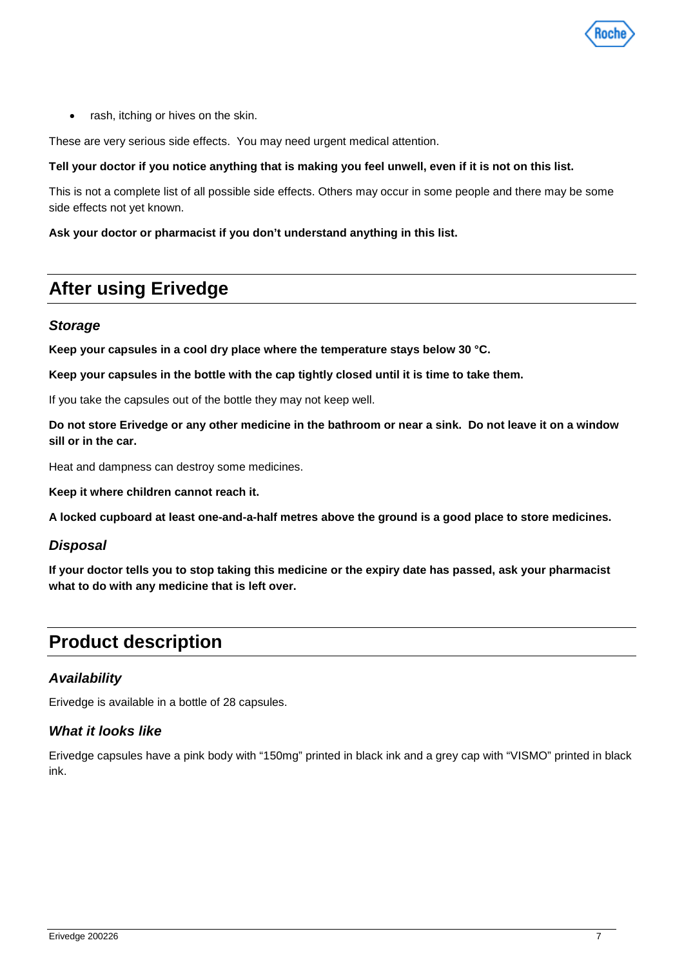

rash, itching or hives on the skin.

These are very serious side effects. You may need urgent medical attention.

#### **Tell your doctor if you notice anything that is making you feel unwell, even if it is not on this list.**

This is not a complete list of all possible side effects. Others may occur in some people and there may be some side effects not yet known.

#### **Ask your doctor or pharmacist if you don't understand anything in this list.**

# **After using Erivedge**

#### *Storage*

**Keep your capsules in a cool dry place where the temperature stays below 30 °C.**

**Keep your capsules in the bottle with the cap tightly closed until it is time to take them.**

If you take the capsules out of the bottle they may not keep well.

**Do not store Erivedge or any other medicine in the bathroom or near a sink. Do not leave it on a window sill or in the car.**

Heat and dampness can destroy some medicines.

**Keep it where children cannot reach it.**

**A locked cupboard at least one-and-a-half metres above the ground is a good place to store medicines.**

#### *Disposal*

**If your doctor tells you to stop taking this medicine or the expiry date has passed, ask your pharmacist what to do with any medicine that is left over.**

# **Product description**

### *Availability*

Erivedge is available in a bottle of 28 capsules.

### *What it looks like*

Erivedge capsules have a pink body with "150mg" printed in black ink and a grey cap with "VISMO" printed in black ink.